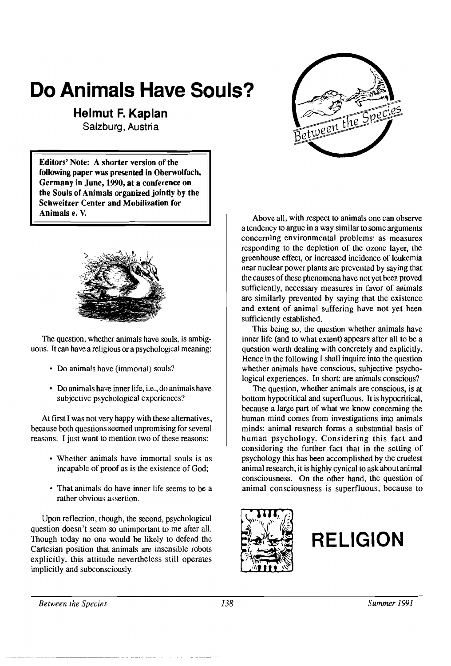# **Do Animals Have Souls?**

## **Helmut F. Kaplan**

Salzburg, Austria

Editors' Note: A shorter version of the following paper was presented in Oberwolfach, Germany in June, 1990, at a conference on the Souls of Animals organized jointly by the Schweitzer Center and Mobilization for Animals e. V.



The question, whether animals have souls, is ambiguous. Itcan have a religious or a psychological meaning:

- Do animals have (immortal) souls?
- Do animals have inner life, i.e., do animals have subjective psychological experiences?

At first I was not very happy with these alternatives, because both questions seemed unpromising for several reasons. I just want to mention two of these reasons:

- Whether animals have immortal souls is as incapable of proof as is the existence of God;
- That animals do have inner life seems to be a rather obvious assertion.

Upon reflection, though, the second, psychological question doesn't seem so unimportant to me after all. Though today no one would be likely to defend the Cartesian position that animals are insensible robots explicitly, this attitude nevertheless still operates implicitly and subconsciously.



Above all, with respect to animals one can observe a tendency to argue in a way similar to some arguments concerning environmental problems: as measures responding to the depletion of the ozone layer, the greenhouse effect, or increased incidence of leukemia near nuclear power plants are prevented by saying that the causes of these phenomena have not yet been proved sufficiently, necessary measures in favor of animals are similarly prevented by saying that the existence and extent of animal suffering have not yet been sufficiently established.

This being so, the question whether animals have inner life (and to what extent) appears after all to be a question worth dealing with concretely and explicitly. Hence in the following I shall inquire into the question whether animals have conscious, subjective psychological experiences. In short: are animals conscious?

The question, whether animals are conscious, is at bottom hypocritical and superfluous. It is hypocritical, because a large part of what we know concerning the human mind comes from investigations into animals minds: animal research forms a substantial basis of human psychology. Considering this fact and considering the further fact that in the setting of psychology this has been accomplished by the cruelest animal research, it is highly cynical to ask about animal consciousness. On the other hand, the question of animal consciousness is superfluous, because to





*Between the Species* 138 *Summer 1991*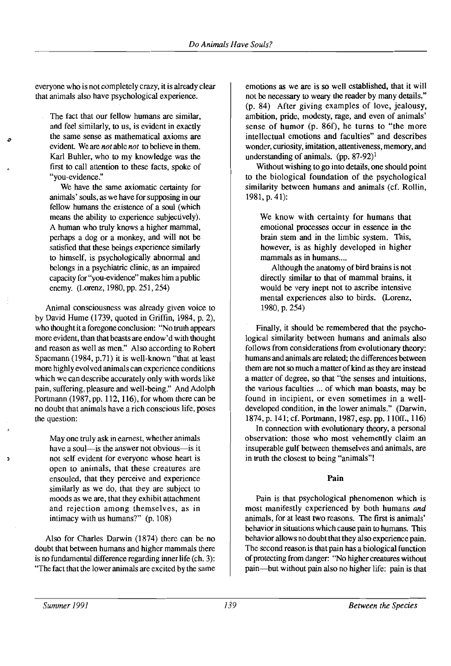everyone who is not completely crazy, it is already clear that animals also have psychological experience.

The fact that our fellow humans are similar, and feel similarly, to us, is evident in exactly the same sense as mathematical axioms are evident. We are *not* able *not* to believe in them. Karl Buhler, who to my knowledge was the first to call attention to these facts, spoke of "you-evidence."

*o* 

h

We have the same axiomatic certainty for animals' souls, as we have for supposing in our fellow humans the existence of a soul (which means the ability to experience subjectively). A human who truly knows a higher mammal, perhaps a dog or a monkey, and will not be satisfied that these beings experience similarly to himself, is psychologically abnormal and belongs in a psychiatric clinic, as an impaired capacity for "you-evidence" makes him a public enemy. (Lorenz, 1980, pp. 251,254)

Animal consciousness was already given voice to by David Hume (1739, quoted in Griffin, 1984, p. 2), who thought it a foregone conclusion: "No truth appears more evident, than that beasts are endow'd with thought and reason as well as men." Also according to Robert Spaemann (1984, p.7l) it is well-known "that at least more highly evolved animals can experience conditions which we can describe accurately only with words like pain, suffering, pleasure and well-being." And Adolph Portmann (1987, pp. 112, 116), for whom there can be no doubt that animals have a rich conscious life, poses the question:

May one truly ask in earnest, whether animals have a soul—is the answer not obvious—is it not self evident for everyone whose heart is open to animals, that these creatures are ensouled, that they perceive and experience similarly as we do, that they are subject to moods as we are, that they exhibit attachment and rejection among themselves, as in intimacy with us humans?" (p. 108)

Also for Charles Darwin (1874) there can be no doubt that between humans and higher mammals there is no fundamental difference regarding inner life (ch. 3): "The fact that the lower animals are excited by the same

emotions as we are is so well established, that it will not be necessary to weary the reader by many details." (p. 84) After giving examples of love, jealousy, ambition, pride, modesty, rage, and even of animals' sense of humor (p. 86f), he turns to "the more intellectual emotions and faculties" and describes wonder, curiosity, imitation, attentiveness, memory, and understanding of animals.  $(pp. 87-92)^1$ 

Without wishing to go into details, one should point to the biological foundation of the psychological similarity between humans and animals (cf. Rollin, 1981, p. 41):

We know with certainty for humans that emotional processes occur in essence in the brain stem and in the limbic system. This, however, is as highly developed in higher mammals as in humans....

Although the anatomy of bird brains is not directly similar to that of mammal brains, it would be very inept not to ascribe intensive mental experiences also to birds. (Lorenz, 1980, p. 254)

Finally, it should be remembered that the psychological similarity between humans and animals also follows from considerations from evolutionary theory: humans and animals are related; the differences between them are not so much a matter of kind as they are instead a matter of degree, so that "the senses and intuitions, the various faculties ... of which man boasts, may be found in incipient, or even sometimes in a welldeveloped condition, in the lower animals." (Darwin, 1874, p. 141; cf. Portmann, 1987, esp. pp. 110ff., 116)

In connection with evolutionary theory, a personal observation: those who most vehemently claim an insuperable gulf between themselves and animals, are in truth the closest to being "animals"!

#### **Pain**

Pain is that psychological phenomenon which is most manifestly experienced by both humans *and*  animals, for at least two reasons. The first is animals' behavior in situations which cause pain to humans. This behavior allows no doubt that they also experience pain. The second reason is that pain has a biological function of protecting from danger: "No higher creatures without pain-but without pain also no higher life: pain is that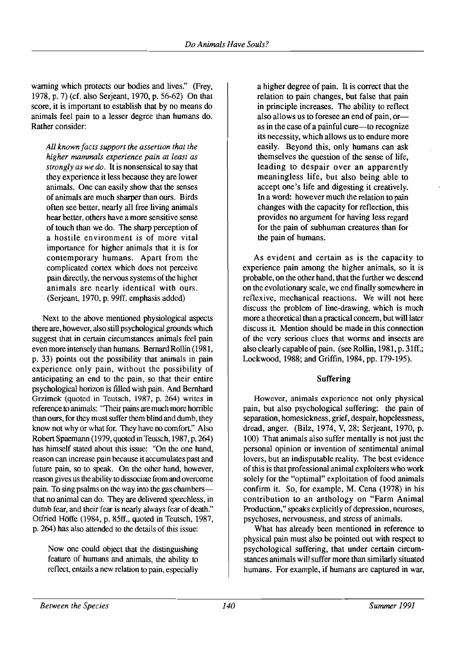warning which protects our bodies and lives." (Frey, 1978, p. 7) (cf. also Serjeant, 1970, p. 56-62) On that score, it is important to establish that by no means do animals feel pain to a lesser degree than humans do. Rather consider:

*All known/acts support the assertion that the higher mammals experience pain at least as strongly as we do.* It is nonsensical to say that they experience it less because they are lower animals. One can easily show that the senses of animals are much sharper than ours. Birds often see better, nearly all free living animals hear better, others have a more sensitive sense of touch than we do. The sharp perception of a hostile environment is of more vital importance for higher animals that it is for contemporary humans. Apart from the complicated cortex which does not perceive pain directly, the nervous systems of the higher animals are nearly identical with ours. (Serjeant, 1970, p. 99ff. emphasis added)

Next to the above mentioned physiological aspects there are, however, also still psychological grounds which suggest that in certain circumstances animals feel pain even more intensely than humans. Bernard Rollin (1981, p. 33) points out the possibility that animals in pain experience only pain, without the possibility of anticipating an end to the pain, so that their entire psychological horizon is filled with pain. And Bernhard Grzimek (quoted in Teutsch, 1987, p. 264) writes in reference to animals: "Their pains are much more horrible than ours, for they must suffer them blind and dumb, they know not why or what for. They have no comfort." Also RobertSpaemann (1979, quoted in Teutsch, 1987, p. 264) has himself stated about this issue: "On the one hand, reason can increase pain because it accumulates past and future pain, so to speak. On the other hand, however, reason gives us the ability to dissociate from and overcome pain. To sing psalms on the way into the gas chambersthat no animal can do. They are delivered speechless, in dumb fear, and their fear is nearly always fear of death." Otfried Hoffe (1984, p. 85ff., quoted in Teutsch, 1987, p. 264) has also attended to the details of this issue:

Now one could object that the distinguishing feature of humans and animals, the ability to reflect, entails a new relation to pain, especially a higher degree of pain. It is correct that the relation to pain changes, but false that pain in principle increases. The ability to reflect also allows us to foresee an end of pain, oras in the case of a painful cure—to recognize its necessity, which allows us to endure more easily. Beyond this, only humans can ask themselves the question of the sense of life, leading to despair over an apparently meaningless life, but also being able to accept one's life and digesting it creatively. In a word: however much the relation to pain changes with the capacity for reflection, this provides no argument for having less regard for the pain of subhuman creatures than for the pain of humans.

As evident and certain as is the capacity to experience pain among the higher animals, so it is probable, on the other hand, that the further we descend on the evolutionary scale, we end finally somewhere in reflexive, mechanical reactions. We will not here discuss the problem of line-drawing, which is much more a theoretical than a practical concern, but will later discuss it. Mention should be made in this connection of the very serious clues that worms and insects are also clearly capable of pain. (see Rollin, 1981, p. 3lff.; Lockwood, 1988: and Griffin, 1984, pp. 179-195).

#### Suffering

However, animals experience not only physical pain, but also psychological suffering: the pain of separation, homesickness, grief, despair, hopelessness, dread, anger. (Bilz, 1974, V, 28; Serjeant, 1970, p. 100) That animals also suffer mentally is not just the personal opinion or invention of sentimental animal lovers, but an indisputable reality. The best evidence ofthis is that professional animal exploiters who work solely for the "optimal" exploitation of food animals confirm it. So, for example, M. Cena (1978) in his contribution to an anthology on "Farm Animal Production," speaks explicitly of depression, neuroses, psychoses, nervousness, and stress of animals.

What has already been mentioned in reference to physical pain must also be pointed out with respect to psychological suffering, that under certain circumstances animals will suffer more than similarly situated humans. For example, if humans are captured in war,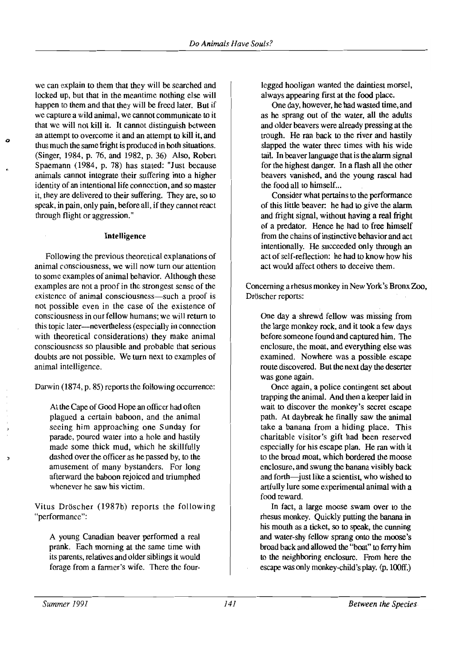we can explain to them that they will be searched and locked up, but that in the meantime nothing else will happen to them and that they will be freed later. But if we capture a wild animal, we cannot communicate to it that we will not kill it. It cannot distinguish between an attempt to overcome it and an attempt to kill it, and thus much the same fright is produced in both situations. (Singer, 1984, p. 76, and 1982, p. 36) Also, Robert Spaemann (1984, p. 78) has stated: "Just because animals cannot integrate their suffering into a higher identity of an intentional life connection, and so master it, they are delivered to their suffering. They are, so to speak, in pain, only pain, before all, if they cannot react through flight or aggression."

o

#### Intelligence

Following the previous theoretical explanations of animal consciousness, we will now tum our attention to some examples of animal behavior. Although these examples are not a proof in the strongest sense of the existence of animal consciousness—such a proof is not possible even in the case of the existence of consciousness in our fellow humans; we will return to this topic later-nevertheless (especially in connection with theoretical considerations) they make animal consciousness so plausible and probable that serious doubts are not possible. We tum next to examples of animal intelligence.

Darwin (1874, p. 85) reports the following occurrence:

At the Cape of Good Hope an officer had often plagued a certain baboon, and the animal seeing him approaching one Sunday for parade, poured water into a hole and hastily made some thick mud, which he skillfully dashed over the officer as he passed by, to the amusement of many bystanders. For long afterward the baboon rejoiced and triumphed whenever he saw his victim.

Vitus Dröscher (1987b) reports the following "performance":

A young Canadian beaver performed a real prank. Each morning at the same time with its parents, relatives and older siblings it would forage from a farmer's wife. There the fourlegged hooligan wanted the daintiest morsel, always appearing first at the food place.

One day, however, he had wasted time, and as he sprang out of the water, all the adults and older beavers were already pressing at the trough. He ran back to the river and hastily slapped the water three times with his wide tail. In beaver language that is the alarm signal for the highest danger. In a flash all the other beavers vanished, and the young rascal had the food all to himself...

Consider what pertains to the performance of this little beaver: he had to give the alarm and fright signal, without having a real fright of a predator. Hence he had to free himself from the chains of instinctive behavior and act intentionally. He succeeded only through an act of self-reflection: he had to know how his act would affect others to deceive them.

Concerning a rhesus monkey in New York's Bronx Zoo, Dröscher reports:

One day a shrewd fellow was missing from the large monkey rock, and it took a few days before someone found and captured him. The enclosure, the moat, and everything else was examined. Nowhere was a possible escape route discovered. But the next day the deserter was gone again.

Once again, a police contingent set about trapping the animal. And then a keeper laid in wait to discover the monkey's secret escape path. At daybreak he finally saw the animal take a banana from a hiding place. This charitable visitor's gift had been reserved especially for his escape plan. He ran with it to the broad moat, which bordered the moose enclosure, and swung the banana visibly back and forth—just like a scientist, who wished to artfully lure some experimental animal with a food reward.

In fact, a large moose swam over to the rhesus monkey. Quickly putting the banana in his mouth as a ticket, so to speak, the cunning and water-shy fellow sprang onto the moose's broad back and allowed the "boat" to ferry him to the neighboring enclosure. From here the escape was only monkey-child's play. (p. l00ff.)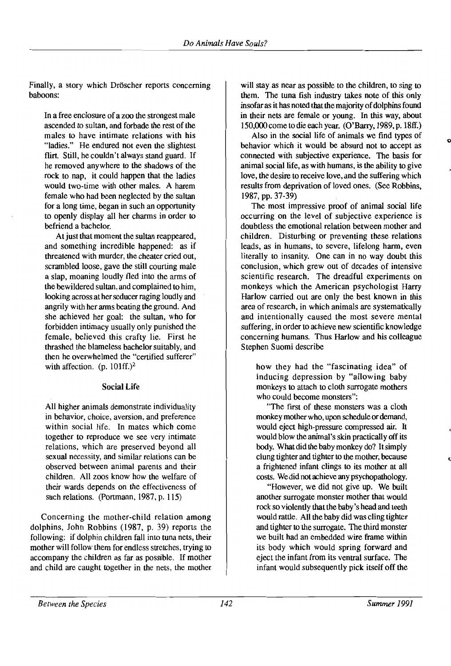Finally, a story which Dröscher reports concerning baboons:

In a free enclosure of a zoo the strongest male ascended to sultan, and forbade the rest of the males to have intimate relations with his "ladies." He endured not even the slightest flirt. Still, he couldn't always stand guard. If he removed anywhere to the shadows of the rock to nap, it could happen that the ladies would two-time with other males. A harem female who had been neglected by the sultan for a long time, began in such an opportunity to openly display all her charms in order to befriend a bachelor.

At just that moment the sultan reappeared, and something incredible happened: as if threatened with murder, the cheater cried out, scrambled loose, gave the still courting male a slap, moaning loudly fled into the arms of the bewildered sultan, and complained to him, looking across at her seducer raging loudly and angrily with her arms beating the ground. And she achieved her goal: the sultan, who for forbidden intimacy usually only punished the female, believed this crafty lie. First he thrashed the blameless bachelor suitably, and then he overwhelmed the "certified sufferer" with affection. (p.  $101ff$ .)<sup>2</sup>

#### Social Life

All higher animals demonstrate individuality in behavior, choice, aversion, and preference within social life. In mates which come together to reproduce we see very intimate relations, which are preserved beyond all sexual necessity, and similar relations can be observed between animal parents and their children. All zoos know how the welfare of their wards depends on the effectiveness of such relations. (Portmann, 1987, p. 115)

Concerning the mother-child relation among dolphins, John Robbins (1987, p. 39) reports the following: if dolphin children fall into tuna nets, their mother will follow them for endless stretches, trying to accompany the children as far as possible. If mother and child are caught together in the nets, the mother

will stay as near as possible to the children, to sing to them. The tuna fish industry takes note of this only insofar as it has noted that the majority of dolphins found in their nets are female or young. In this way, about 150,000 come to die each year. (O'Barry, 1989, p.18ff.)

Also in the social life of animals we find types of behavior which it would be absurd not to accept as connected with subjective experience. The basis for animal social life, as with humans, is the ability to give love, the desire to receive love, and the suffering which results from deprivation of loved ones. (See Robbins, 1987, pp. 37-39)

The most impressive proof of animal social life occurring on the level of subjective experience is doubtless the emotional relation between mother and children. Disturbing or preventing these relations leads, as in humans, to severe, lifelong harm, even literally to insanity. One can in no way doubt this conclusion, which grew out of decades of intensive scientific research. The dreadful experiments on monkeys which the American psychologist Harry Harlow carried out are only the best known in this area of research, in which animals are systematically and intentionally caused the most severe mental suffering, in order to achieve new scientific knowledge concerning humans. Thus Harlow and his colleague Stephen Suomi describe

how they had the "fascinating idea" of inducing depression by "allowing baby monkeys to attach to cloth surrogate mothers who could become monsters":

"The first of these monsters was a cloth monkey mother who, upon schedule or demand, would eject high-pressure compressed air. It would blow the animal's skin practically off its body. What did the baby monkey do? Itsimply clung tighter and tighter to the mother, because a frightened infant clings to its mother at all costs. We did not achieve any psychopathology.

"However, we did not give up. We built another surrogate monster mother that would rock so violently that the baby's head and teeth would rattle. All the baby did was cling tighter and tighter to the surrogate. The third monster we built had an embedded wire frame within its body which would spring forward and eject the infant from its ventral surface. The infant would subsequently pick itself off the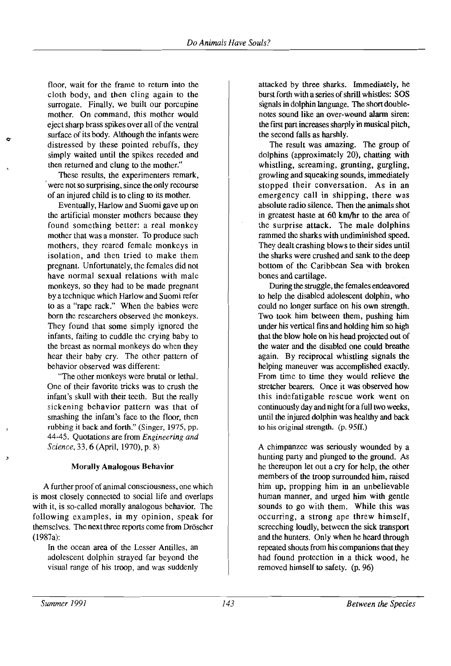floor, wait for the frame to return into the attacked by three sharks. Immediately, he cloth body, and then cling again to the burst forth with a series of shrill whistles: SOS surrogate. Finally, we built our porcupine signals in dolphin language. The short doublemother. On command, this mother would notes sound like an over-wound alarm siren: eject sharp brass spikes over all of the ventral the first part increases sharply in musical pitch, surface of its body. Although the infants were the second falls as harshly. distressed by these pointed rebuffs, they The result was amazing. The group of simply waited until the spikes receded and dolphins (approximately 20), chatting with then returned and clung to the mother." whistling, screaming, grunting, gurgling,

were not so surprising, since the only recourse stopped their conversation. As in an of an injured child is to cling to its mother. emergency call in shipping, there was

the artificial monster mothers because they in greatest haste at 60 km/hr to the area of found something better: a real monkey the surprise attack. The male dolphins mother that was a monster. To produce such rammed the sharks with undiminished speed. mothers, they reared female monkeys in They dealt crashing blows to their sides until isolation, and then tried to make them the sharks were crushed and sank to the deep pregnant. Unfortunately, the females did not bottom of the Caribbean Sea with broken have normal sexual relations with male bones and cartilage. monkeys, so they had to be made pregnant During the struggle, the females endeavored by a technique which Harlow and Suomi refer to help the disabled adolescent dolphin, who to as a "rape rack." When the babies were could no longer surface on his own strength. born the researchers observed the monkeys. Two took him between them, pushing him They found that some simply ignored the under his vertical fins and holding him so high infants, failing to cuddle the crying baby to that the blow hole on his head projected out of the breast as normal monkeys do when they the water and the disabled one could breathe hear their baby cry. The other pattern of again. By reciprocal whistling signals the behavior observed was different: helping maneuver was accomplished exactly.

One of their favorite tricks was to crush the stretcher bearers. Once it was observed how infant's skull with their teeth. But the really this indefatigable rescue work went on sickening behavior pattern was that of continuously day and night for a full two weeks, smashing the infant's face to the floor, then until the injured dolphin was healthy and back rubbing it back and forth." (Singer, 1975, pp. to his original strength. (p.95ff.) 44-45. Quotations are from *Engineering and Science*, 33, 6 (April, 1970), p. 8) A chimpanzee was seriously wounded by a

A further proof of animal consciousness, one which him up, propping him in an unbelievable is most closely connected to social life and overlaps human manner, and urged him with gentle with it, is so-called morally analogous behavior. The sounds to go with them. While this was following examples, in my opinion, speak for  $\qquad$  occurring, a strong ape threw himself, themselves. The next three reports come from Dröscher screeching loudly, between the sick transport (1987a): and the hunters. Only when he heard through

In the ocean area of the Lesser Antilles, an repeated shouts from his companions that they adolescent dolphin strayed far beyond the had found protection in a thick wood, he visual range of his troop, and was suddenly removed himself to safety. (p. 96)

These results, the experimenters remark, growling and squeaking sounds, immediately Eventually, Harlow and Suomi gave up on absolute radio silence. Then the animals shot

"The other monkeys were brutal or lethal. From time to time they would relieve the

hunting party and plunged to the ground. As Morally Analogous Behavior he thereupon let out a cry for help, the other members of the troop surrounded him, raised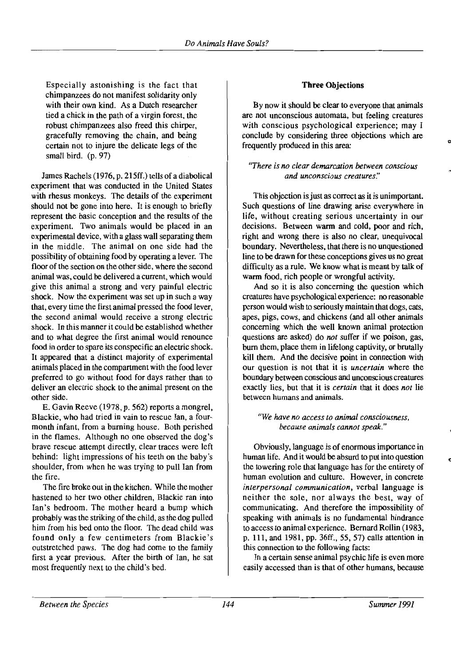Especially astonishing is the fact that chimpanzees do not manifest solidarity only with their own kind. As a Dutch researcher tied a chick in the path of a virgin forest, the robust chimpanzees also freed this chirper, gracefully removing the chain, and being certain not to injure the delicate legs of the small bird. (p. 97)

James Rachels (1976, p. 215ff.) tells of a diabolical experiment that was conducted in the United States with rhesus monkeys. The details of the experiment should not be gone into here. It is enough to briefly represent the basic conception and the results of the experiment. Two animals would be placed in an experimental device, with a glass wall separating them in the middle. The animal on one side had the possibility of obtaining food by operating a lever. The floor of the section on the other side, where the second animal was, could be delivered a current, which would give this animal a strong and very painful electric shock. Now the experiment was set up in such a way that, every time the first animal pressed the food lever, the second animal would receive a strong electric shock. In this manner it could be established whether and to what degree the first animal would renounce food in order to spare its conspecific an electric shock. It appeared that a distinct majority of experimental animals placed in the compartment with the food lever preferred to go without food for days rather than to deliver an electric shock to the animal present on the other side.

E. Gavin Reeve (1978, p. 562) reports a mongrel, Blackie, who had tried in vain to rescue Ian, a fourmonth infant, from a burning house. Both perished in the flames. Although no one observed the dog's brave rescue attempt directly, clear traces were left behind: light impressions of his teeth on the baby's shoulder, from when he was trying to pull Ian from the fire.

The fire broke out in the kitchen. While the mother hastened to her two other children, B1ackie ran into Ian's bedroom. The mother heard a bump which probably was the striking of the child, as the dog pulled him from his bed onto the floor. The dead child was found only a few centimeters from Blackie's outstretched paws. The dog had come to the family first a year previous. After the birth of Ian, he sat most frequently next to the child's bed.

### Three Objections

By now it should be clear to everyone that animals are not unconscious automata, but feeling creatures with conscious psychological experience; may I conclude by considering three objections which are frequently produced in this area:

#### *"There is no clear demarcation between conscious and unconscious creatures:'*

This objection is just as correct as it is unimportant. Such questions of line drawing arise everywhere in life, without creating serious uncertainty in our decisions. Between warm and cold, poor and rich, right and wrong there is also no clear, unequivocal boundary. Nevertheless, that there is no unquestioned line to be drawn for these conceptions gives us no great difficulty as a rule. We know what is meant by talk of warm food, rich people or wrongful activity.

And so it is also concerning the question which creatures have psychological experience: no reasonable person would wish to seriously maintain that dogs, cats, apes, pigs, cows, and chickens (and all other animals concerning which the well known animal protection questions are asked) do *not* suffer if we poison, gas, burn them, place them in lifelong captivity, or brutally kill them. And the decisive point in connection with our question is not that it is *uncertain* where the boundary between conscious and unconscious creatures exaclly lies, but that it is *certain* that it does *not* lie between humans and animals.

#### *"We have no access to animal consciousness. because animals cannot speak."*

Obviously, language is of enormous importance in human life. And it would be absurd to put into question the towering role that language has for the entirety of human evolution and culture. However, in concrete *interpersonal communication,* verbal language is neither the sole, nor always the best, way of communicating. And therefore the impossibility of speaking with animals is no fundamental hindrance to access to animal experience. Bernard Rollin (1983, p. 111, and 1981, pp. 36ff., 55, 57) calls attention in this connection to the following facts:

In a certain sense animal psychic life is even more easily accessed than is that of other humans, because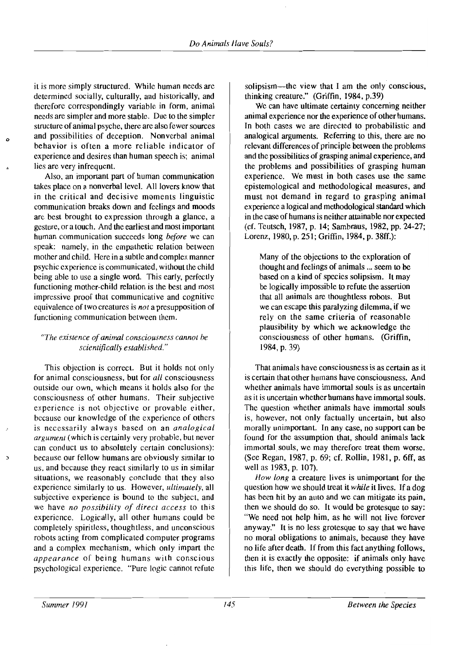it is more simply structured. While human needs are determined socially, culturally, and historically, and therefore correspondingly variable in form, animal needs are simpler and more stable. Due to the simpler structure of animal psyche, there are also fewer sources and possibilities of deception. Nonverbal animal behavior is often a more reliable indicator of experience and desires than human speech is; animal lies are very infrequent.

o

Also, an important part of human communication takes place on a nonverbal level. All lovers know that in the critical and decisive moments linguistic communication breaks down and feelings and moods are best brought to expression through a glance, a gesture, or a touch. And the earliest and most important human communication succeeds long *before* we can speak: namely, in the empathetic relation between mother and child. Here in a subtle and complex manner psychic experience is communicated, without the child being able to use a single word. This early, perfectly functioning mother-child relation is the best and most impressive proof that communicative and cognitive equivalence of two creatures is *not* a presupposition of functioning communication between them.

#### *'The existence ofanimal consciousness cannot be*   $s$ *cientifically established."*

This objection is correct. But it holds not only for animal consciousness, but for *all* consciousness outside our own, which means it holds also for the consciousness of other humans. Their subjective experience is not objective or provable either, because our knowledge of the experience of others is necessarily always based on an *analogical argument* (which is certainly very probable, but never can conduct us to absolutely certain conclusions): because our fellow humans are obviously similar to us, and because they react similarly to us in similar situations, we reasonably conclude that they also experience similarly to us. However, *ultimately,* all subjective experience is bound to the subject, and we have *no possibility of direct access* to this experience. Logically, all other humans could be completely spiritless, thoughtless, and unconscious robots acting from complicated computer programs and a complex mechanism, which only impart the *appearance* of being humans with conscious psychological experience. "Pure logic cannot refute

solipsism—the view that I am the only conscious. thinking creature." (Griffin, 1984. p.39)

We can have ultimate certainty concerning neither animal experience nor the experience of other humans. In both cases we are directed to probabilistic and analogical arguments. Referring to this, there are no relevant differences of principle between the problems and the possibilities of grasping animal experience, and the problems and possibilities of grasping human experience. We must in both cases use the same epistemological and methodological measures, and must not demand in regard to grasping animal experience a logical and methodological standard which in the case of humans is neither attainable nor expected (cf. Teutsch, 1987, p. 14; Sambraus, 1982. pp. 24-27; Lorenz, 1980, p. 251; Griffin, 1984. p. 38ff.):

Many of the objections to the exploration of thought and feelings of animals ... seem to be based on a kind of species solipsism. It may be logically impossible to refute the assertion that all animals are thoughtless robots. But we can escape this paralyzing dilemma. if we rely on the same criteria of reasonable plausibility by which we acknowledge the consciousness of other humans. (Griffin, 1984,p.39)

That animals have consciousness is as certain as it is certain that other humans have consciousness. And whether animals have immortal souls is as uncertain as it is uncertain whether humans have immortal souls. The question whether animals have immortal souls is, however, not only factually uncertain, but also morally unimportant. In any case, no support can be found for the assumption that, should animals lack immortal souls, we may therefore treat them worse. (See Regan, 1987, p. 69; cr. Rollin, 1981, p. 6ff, as well as 1983, p. 107).

*How long* a creature lives is unimportant for the question how we should treat it *while* it lives. If a dog has been hit by an auto and we can mitigate its pain. then we should do so. It would be grotesque to say: "We need not help him. as he will not live forever anyway." It is no less grotesque to say that we have no moral obligations to animals, because they have no life after death. If from this fact anything follows. then it is exactly the opposite: if animals only have this life, then we should do everything possible to

*Summer 1991*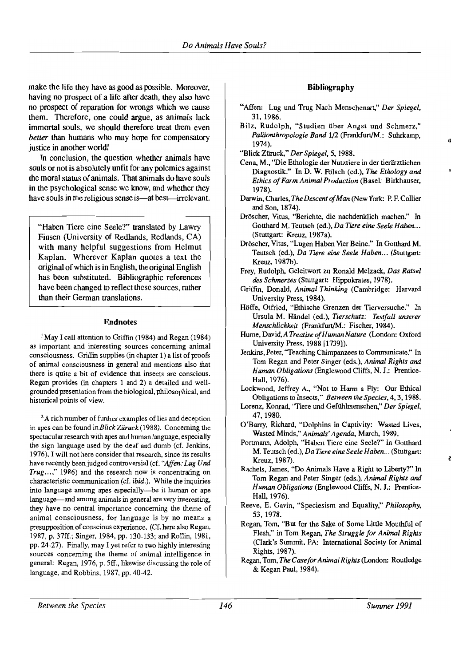make the life they have as good as possible. Moreover, having no prospect of a life after death, they also have no prospect of reparation for wrongs which we cause them. Therefore, one could argue, as animals lack immortal souls, we should therefore treat them even *better* than humans who may hope for compensatory justice in another world!

In conclusion, the question whether animals have souls or not is absolutely unfit for any polemics against the moral status of animals. That animals do have souls in the psychological sense we know, and whether they have souls in the religious sense is—at best—irrelevant.

"Haben Tiere eine Seele?" translated by Lawry Finsen (University of Redlands, Redlands, CA) with many helpful suggestions from Helmut Kaplan. Wherever Kaplan quotes a text the original of which is in English, the original English has been substituted. Bibliographic references have been changed to reflect these sources, rather than their German translations.

#### Endnotes

<sup>1</sup> May I call attention to Griffin (1984) and Regan (1984) as important and interesting sources concerning animal consciousness. Griffin supplies (in chapter 1) a list of proofs of animal consciousness in general and mentions also that there is quite a bit of evidence that insects are conscious. Regan provides (in chapters 1 and 2) a detailed and wellgrounded presentation from the biological, philosophical, and historical points of view.

<sup>2</sup>A rich number of further examples of lies and deception in apes can be found in *Blick Ziiruck(1988).* Concerning the spectacular research with apes and human language, especially the sign language used by the deaf and dumb (cf. Jenkins, 1976). I will not here consider that research. since its results have recently been judged controversial (cf. *"Affen: Lug Und Trug...*," 1986) and the research now is concentrating on characteristic communication (cf. *ibid.).* While the inquiries into language among apes especially—be it human or ape language—and among animals in general are very interesting, they have no central importance concerning the theme of animal consciousness, for language is by no means a presupposition of conscious experience. (Cf. here also Regan, 1987, p. 37ff.; Singer, 1984. pp. 130-133; and Rollin, 1981, pp.24-27). Finally, may I yet refer to two highly interesting sources concerning the theme of animal intelligence in general: Regan, 1976, p. 5ff., likewise discussing the role of language, and Robbins, 1987, pp. 40-42.

#### Bibliography

- "Affen: Lug und Trug Nach Menschenart," *Der Spiegel,*  31. 1986.
- Bilz. Rudolph, "Studien über Angst und Schmerz," *Paliionthropologie Band* 1/2 (Frankfurt/M.: Suhrkamp, 1974).
- "Blick Ziiruck," *Der Spiegel.* 5, 1988.
- Cena, M., "Die Ethologie der Nutztiere in der tierarztlichen Diagnostik." In D. W. Folsch (ed.), *The Ethology and Ethics ofFarm Animal Production* (Basel: Birkhauser, 1978).
- Darwin, Charles, *The Descent ofMan* (NewYork: P. F. Collier and Son. 1874).
- Dröscher, Vitus, "Berichte, die nachdenklich machen." In Gotthard M. Teutsch (ed.), *Da Tiere eine Seele Haben...*  (Stuttgart: Kreuz.1987a).
- Dröscher, Vitus, "Lugen Haben Vier Beine." In Gotthard M. Teutsch (ed.), *Da Tiere eine Seele Haben...* (Stuttgart: Kreuz. 1987b).
- Frey, Rudolph, Geleitwort zu Ronald Melzack, *Das Ratsel des Schmerzes* (Stuttgart: Hippokrates, 1978).
- Griffin. Donald. *Animal Thinking* (Cambridge: Harvard University Press. 1984).
- Hoffe. Otfried, "Ethische Grenzen der Tierversuche." In Ursula M. Handel (ed.), *Tierschutz: Testfall unserer Menschlichkeit* (Frankfurt/M.: Fischer, 1984).
- Hume. *David,ATreatiseofHumanNature* (London: Oxford University Press. 1988 [1739]).
- Jenkins, Peter, "Teaching Chimpanzees to Communicate." In Tom Regan and Peter Singer (eds.), *Animal Rights and Human Obligations* (Englewood Cliffs. N. J.: Prentice-Hall,1976).
- Lockwood, Jeffrey A., "Not to Harm a Fly: Our Ethical Obligations to Insects," *Between the Species,* 4, 3, 1988.
- Lorenz, Konrad, ''Tiere und Gefiihlmenschen," *Der Spiegel.*  47,1980.
- O'Barry. Richard, "Dolphins in Captivity: Wasted Lives, Wasted Minds," *Animals' Agenda.* March. 1989.
- Portmann, Adolph, "Haben Tiere eine Seele?" In Gotthard M. Teutsch (ed.), *Da Tiere eine Seele Haben...* (Stuttgart: Kreuz, 1987).
- Rachels, James, "Do Animals Have a Right to Liberty?" In Tom Regan and Peter Singer (eds.), *Animal Rights and Human Obligations* (Englewood Cliffs, N. J.: Prentice-Hall,1976).
- Reeve, E. Gavin, "Speciesism and Equality," *Philosophy.*  53, 1978.
- Regan, Tom. "But for the Sake of Some Little Mouthful of Flesh," in Tom Regan, *The Struggle for Animal Rights*  (Clark's Summit. PA: International Society for Animal Rights, 1987).
- Regan. Tom. *The Casefor AnimalRights* (London: Routledge & Kegan Paul. 1984).